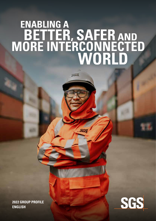# ENABLING A<br>BETTER, SAFER AND<br>MORE INTERCONNECTED<br>WORLD

 $56S$ 

**2022 GROUP PROFILE ENGLISH**

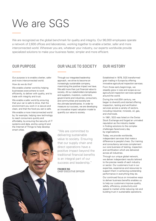# We are SGS

We are recognized as the global benchmark for quality and integrity. Our 96,000 employees operate a network of 2,600 offices and laboratories, working together to enable a better, safer and more interconnected world. Wherever you are, whatever your industry, our experts worldwide provide specialized solutions to make your business faster, simpler and more efficient.

Our purpose is to enable a better, safer and more interconnected world.

How do we do this?

We enable a better world by helping businesses everywhere to work efficiently, to deliver with quality, and to trade with integrity and trust.

We enable a safer world by ensuring that your car is safe to drive, that the environment you work in is secure and clean, and that the food you eat is safe.

We enable a more interconnected world by, for example, helping new technology to reach consumers quickly and affordably, by ensuring the security of IT systems and data, and by using AI and the Internet of Things to help develop smart cities.

# OUR PURPOSE OUR VALUE TO SOCIETY OUR HISTORY

Through our integrated leadership approach, we strive to become an increasingly sustainable company, maximizing the positive impact we have. We add more than just financial value to society. All our stakeholders (employees and suppliers, investors, customers, governments and industries, consumers, and communities and society) are the ultimate beneficiaries. In order to measure our success, we are developing an innovative impact valuation model to quantify our value to society.

"We are committed to delivering sustainable value to society. Ensuring that our supply chain and direct operations have a positive impact beyond the traditional financial benefits is an integral part of our success and leadership."

**FRANKIE NG** CHIEF EXECUTIVE OFFICER

Established in 1878, SGS transformed grain trading in Europe by offering innovative agricultural inspection services.

From those early beginnings, we steadily grew in size and scope as our agricultural inspection services spread around the world.

During the mid-20th century, we began to diversify and started offering inspection, testing and verification services across a variety of sectors, including industrial, minerals, oil, gas, and chemicals.

In 1981, SGS was listed on the Swiss Stock Exchange and forged an unrivaled reputation as the industry leader in finding solutions to the complex challenges faced every day by organizations.

Today, we provide worldwide, independent services that make a difference to people's lives. Our training and consultancy services complement our core business of testing, inspection and certification which are delivered across all industries.

Through our unique global network, we deliver independent results tailored to the precise needs of each industry or sector. Our customers trust in our expertise, experience and resources to support them in achieving outstanding performance in everything they do.

Our continued focus on innovative ways to deliver business benefits enables us to help our customers improve quality, safety, efficiency, productivity and speed to market while reducing risk and building trust in sustainable operations.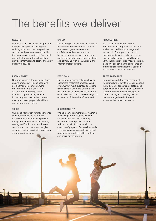# The benefits we deliver

#### **QUALITY**

Our customers rely on our independent third-party inspection, testing and auditing solutions to ensure products, services and processes comply with the latest quality standards. Our global network of state-of-the-art facilities provides information to certify and verify quality worldwide.

#### **PRODUCTIVITY**

Our training and outsourcing solutions ensure productivity keeps pace with developments in our customers' organizations. In the short term, we offer the knowledge of our world-class productivity experts. In the long term, we deliver focused training to develop specialist skills in our customers' workforce.

#### **TRUST**

Our global reputation for independence and integrity enables us to build trust wherever needed. We provide transparent and unbiased inspection, testing, verification and certification solutions so our customers can give assurance in their products, processes, systems and services.

#### **SAFETY**

We help organizations develop effective health and safety systems to protect employees, generate consumer confidence and enhance trust in business operations. We support our customers in adhering to best practices and complying with local, national and international regulations.

#### **EFFICIENCY**

Our tailored business solutions help our customers implement processes and systems that make business operations faster, simpler and more efficient. We deliver unrivaled efficiency results from our local experts, who draw on the global experience of the entire SGS network.

#### **SUSTAINABILITY**

We help our customers take ownership of building a more responsible and sustainable future. We encourage environmental responsibility and reduce the risk of corruption in our customers' projects. Our services assist in developing sustainable facilities and production, as well as better working and social environments.

#### **REDUCED RISK**

We provide our customers with independent and impartial services that enable them to identify, manage and reduce risk. Our experts deliver risk management solutions, drawing on our testing and inspection capabilities, to verify that risk prevention measures are in place. We assist with the compliance of international risk management standards across a wide range of industries.

#### **SPEED TO MARKET**

Compliance with the requirements of target markets is key to increasing speed to market. Our consultancy, testing and certification services help our customers overcome the complex challenges of understanding and meeting market demands anywhere in the world, whatever the industry or sector.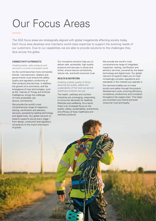# Our Focus Areas

The SGS focus areas are strategically aligned with global megatrends affecting society today. Each focus area develops and maintains world-class expertise to support the evolving needs of our customers. Due to our capabilities we are able to provide solutions to the challenges they face across the globe.

#### **CONNECTIVITY & PRODUCTS**

*Enabling better, safer products and services in a more connected world.* As the world becomes more connected, brands, manufacturers, retailers and governments must ensure the safety, quality and regulatory conformity of their products and services. In addition, the growth of e-commerce, and the emergence of new technologies, such as 5G, Internet of Things and Artificial Intelligence, brings the challenge of more accessible, yet secure, connectivity.

We provide the world's most comprehensive range of inspection, testing, certification and advisory services, powered by leading technology and digital tools. Our global network of experts supports you at every stage – from design, production and regulatory compliance to the import and export of goods.

Our innovative solutions help you to deliver safe, accessible, high-quality products and services in stores and online, ensure secure connectivity, reduce risk, and build consumer trust.

#### **HEALTH & NUTRITION**

*Enabling a better quality of life by assuring the quality, safety and sustainability of the food we eat and healthcare products we use.*

The health, wellness and nutrition industries are converging, responding to consumer demands for healthier lifestyles and wellbeing. As a result, there is an increased focus on the quality, safety, sustainability, authenticity and efficacy of food, healthcare and wellness products.

We provide the world's most comprehensive range of integrated inspection, testing, certification and advisory services, powered by the latest technology and digital tools. Our global network of experts helps you to meet increasingly complex regulations and standards in the markets you operate in.

Our services enable you to move quickly and safely through the product development cycle, ensuring efficiency, compliance, productivity and innovation throughout the supply chain. This helps you to protect your brand and build consumer trust and loyalty.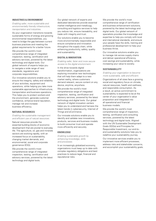#### **INDUSTRIES & ENVIRONMENT**

*Enabling safer, more sustainable and environmentally friendly infrastructure, transportation and industries.*

As your organization transitions towards sustainable forms of energy and growing environmental responsibilities, you need to bridge the gap between current business practices and meeting the global requirements for a better future.

We provide the world's most comprehensive range of integrated inspection, testing, certification and advisory services, powered by the latest technology and digital tools. Our global network of experts helps you to navigate a wide range of new standards, regulations and corporate responsibilities.

Our innovative solutions enable you to ensure the integrity, safety and reliability of your activities, equipment and operations, while helping you take more sustainable approaches to infrastructure, transportation and business operations. This helps you to protect workers and the environment, generate customer confidence, enhance brand reputation, manage risk and increase business efficiency.

#### **NATURAL RESOURCES**

*Enabling the sustainable management and efficient use of natural resources.*

Natural resources provide the essential building blocks of economic development that are pivotal to everyday life. The agriculture, oil, gas and minerals sectors are evolving rapidly, with an increased focus on sustainability, changing market demands, and environmental, social and corporate governance (ESG).

We provide the world's most comprehensive range of integrated inspection, testing, certification and advisory services, powered by the latest technology and digital tools.

Our global network of experts and dedicated laboratories provide essential market intelligence and metallurgy, consulting and logistics services to help you reduce risk, ensure traceability, and trade with integrity and trust.

Our solutions enable you to become more environmentally responsible and ensure compliance and innovation throughout the supply chain, while enhancing productivity, safety, quality and sustainability.

#### **DIGITAL & INNOVATION**

*Enabling safer, fairer and more secure access to the digital environment.*

In the drive towards digital transformation, organizations are exploring innovative new technologies that will help them adapt to a new market reality, where customers demand relevant, secure content on any device, anytime, anywhere.

We provide the world's most comprehensive range of integrated inspection, testing, certification and advisory services, powered by the latest technology and digital tools. Our global network of digital innovation centers helps you to understand and harness the latest trends in cybersecurity, Internet of Things and eCommerce.

Our innovate solutions enable you to identify and validate new innovations, products, services and business models to build consumer trust and operate more efficiently and securely.

#### **KNOWLEDGE**

*Enabling sustainable growth by enhancing knowledge, skills and processes.*

In an increasingly globalized economy, organizations must keep up to date with complex regulatory obligations and best practices to reduce legal, financial and reputational risks.

We provide the world's most comprehensive range of certification and business enhancement solutions, powered by the latest technology and digital tools. Our global network of specialists provides the knowledge and expertise to help you comply with local and international standards, and ensure your people have the skills, training and professional development to help your business thrive.

Our innovative solutions enable you to manage risk across supply chains and deliver operational efficiency, cost savings and sustainability, while increasing your value to society.

#### **SUSTAINABILLITY**

*Enabling your organization to become more sustainable, safe and efficient.*

Organizations of all sizes face a growing social and regulatory focus on climate, natural resources, health and wellness, and responsible consumption. As a result, an active commitment to sustainability is expected to be at the center of your organization's value proposition and integrated into all operational and financial business models.

We provide the world's most comprehensive range of inspection, testing, certification and consulting services, powered by the latest technology and digital tools. Aligned with the UN Sustainable Development Goals (SDGs) and Principles for Responsible Investment, our end-toend sustainability solutions help you to redefine your sustainability journey.

Our innovative services enable you to implement more efficient processes, address risks and stakeholder concerns, and accomplish your sustainability goals.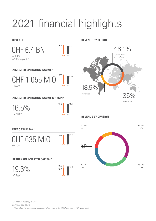# 2021 financial highlights

#### **REVENUE**

CHF 6.4 BN  $+14.2\%$ <sup>1</sup> +8.9% organic\*



#### **ADJUSTED OPERATING INCOME\***



### **ADJUSTED OPERATING INCOME MARGIN\***

**2021** 2020  $16.5$  16.1 16.5%  $+0.4$ pp<sup>1,2</sup>

## **FREE CASH FLOW\***



## **RETURN ON INVESTED CAPITAL\***

19.6%  $+3.1$ pp<sup>2</sup>



#### **REVENUE BY REGION**



## **REVENUE BY DIVISION**



*1. Constant currency (CCY)\**

*2. Percentage points*

*\* Alternative Performance Measures (APM), refer to the '2021 Full Year APM' document.*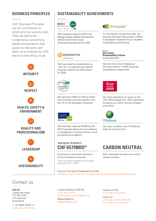SGS' Business Principles are the cornerstone on which all of our activity rests. They are held to be fundamental, overarching beliefs and behaviors that guide our decisions and allow us to embody the SGS brand in everything we do.



# Contact us

**SGS SA** 1 place des Alpes P.O. Box 2152 1211 Geneva 1 **Switzerland** 

**t** +41 (0)22 739 91 11 [www.sgs.com/contact](http://www.sgs.com/contact)

# **BUSINESS PRINCIPLES | SUSTAINABILITY ACHIEVEMENTS**



SGS received a rating of AAA in the Morgan Stanley Capital International's (MSCI) Environment Social Governance assessment for 2020.



SGS was rated by Sustainalytics as "low risk" of experiencing material financial impacts from ESG factors for 2020.



We received a Platinum Rating award from EcoVadis and were placed in the top 1% of the evaluated companies.



SGS has been rated as PRIME by ISS ESG Corporate Rating for its excellence in management of environmental, social and governance aspects.

# **OUR VALUE TO SOCIETY**

Ensuring we make better decisions, for our business and society.

*\*From our direct operations and supply chain activities in 2019*

Find out more about Sustainability at SGS <http://www.sgs.com/en/our-company/corporate-sustainability/sustainability-at-sgs>



For the seventh consecutive year, we received the Gold Class award in SAM's Sustainability Yearbook for our excellent sustainability performance.

Dow Jones **Sustainability Indices** Powered by the S&P Global CSA

We rank first in the Professional Services industry in 2020 Corporate Sustainability Assessment.



We were awarded an A- score on the CDP 2020 Assessment. SGS maintained its status as a carbon neutral company since 2014.



We were included in the FTSE4Good Index for the third time.

# **CHF 6579MIO\* CARBON NEUTRAL**

SGS maintained its status as a carbon neutral company

Investor Relations SGS SA: [www.sgs.com/IR](http://www.sgs.com/IR) [SGS.Investor.relations@sgs.com](mailto:SGS.Investor.relations%40sgs.com?subject=)

Media Relations: [MediaPR@sgs.com](mailto:MediaPR%40sgs.com?subject=) Careers at SGS: [www.sgs.com/careers](http://www.sgs.com/careers )

Follow us: [www.sgs.com/socialmedia](http://www.sgs.com/socialmedia) [www.sgs.com/subscribe](http://www.sgs.com/subscribe)